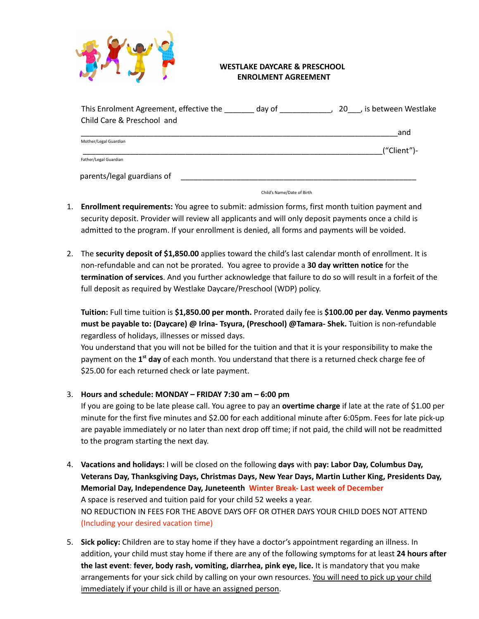

## **WESTLAKE DAYCARE & PRESCHOOL ENROLMENT AGREEMENT**

| This Enrolment Agreement, effective the<br>day of | 20, is between Westlake |
|---------------------------------------------------|-------------------------|
| Child Care & Preschool and                        |                         |
|                                                   | and                     |
| Mother/Legal Guardian                             |                         |
|                                                   | ("Client")-             |
| Father/Legal Guardian                             |                         |
| parents/legal guardians of                        |                         |

Child's Name/Date of Birth

- 1. **Enrollment requirements:** You agree to submit: admission forms, first month tuition payment and security deposit. Provider will review all applicants and will only deposit payments once a child is admitted to the program. If your enrollment is denied, all forms and payments will be voided.
- 2. The **security deposit of \$1,850.00** applies toward the child's last calendar month of enrollment. It is non-refundable and can not be prorated. You agree to provide a **30 day written notice** for the **termination of services**. And you further acknowledge that failure to do so will result in a forfeit of the full deposit as required by Westlake Daycare/Preschool (WDP) policy.

**Tuition:** Full time tuition is **\$1,850.00 per month.** Prorated daily fee is **\$100.00 per day. Venmo payments must be payable to: (Daycare) @ Irina- Tsyura, (Preschool) @Tamara- Shek.** Tuition is non-refundable regardless of holidays, illnesses or missed days.

You understand that you will not be billed for the tuition and that it is your responsibility to make the payment on the 1<sup>st</sup> day of each month. You understand that there is a returned check charge fee of \$25.00 for each returned check or late payment.

3. **Hours and schedule: MONDAY – FRIDAY 7:30 am – 6:00 pm**

If you are going to be late please call. You agree to pay an **overtime charge** if late at the rate of \$1.00 per minute for the first five minutes and \$2.00 for each additional minute after 6:05pm. Fees for late pick-up are payable immediately or no later than next drop off time; if not paid, the child will not be readmitted to the program starting the next day.

- 4. **Vacations and holidays:** I will be closed on the following **days** with **pay: Labor Day, Columbus Day, Veterans Day, Thanksgiving Days, Christmas Days, New Year Days, Martin Luther King, Presidents Day, Memorial Day, Independence Day, Juneteenth Winter Break- Last week of December** A space is reserved and tuition paid for your child 52 weeks a year. NO REDUCTION IN FEES FOR THE ABOVE DAYS OFF OR OTHER DAYS YOUR CHILD DOES NOT ATTEND (Including your desired vacation time)
- 5. **Sick policy:** Children are to stay home if they have a doctor's appointment regarding an illness. In addition, your child must stay home if there are any of the following symptoms for at least **24 hours after the last event**: **fever, body rash, vomiting, diarrhea, pink eye, lice.** It is mandatory that you make arrangements for your sick child by calling on your own resources. You will need to pick up your child immediately if your child is ill or have an assigned person.